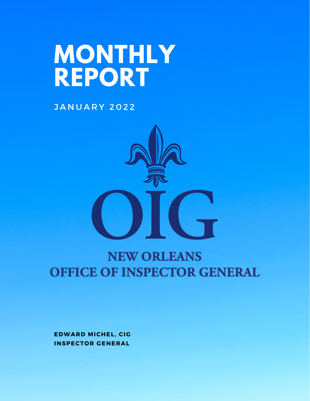# **MONTHLY REPORT**

**JANUARY 2022** 



## **NEW ORLEANS OFFICE OF INSPECTOR GENERAL**

**EDWARD MICHEL, CIG INSPECTOR GENERAL**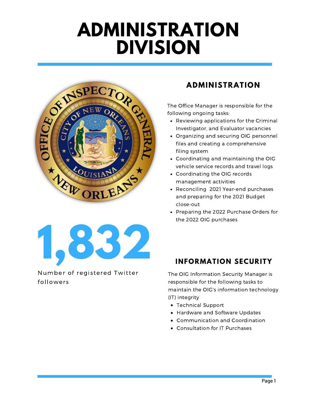## **ADMINISTRATION DIVISION**



**1,832**

Number of registered Twitter followers

### **ADMINISTRATION**

The Office Manager is responsible for the following ongoing tasks:

- Reviewing applications for the Criminal Investigator, and Evaluator vacancies
- Organizing and securing OIG personnel files and creating a comprehensive filing system
- Coordinating and maintaining the OIG vehicle service records and travel logs
- Coordinating the OIG records management activities
- Reconciling 2021 Year-end purchases and preparing for the 2021 Budget close-out
- Preparing the 2022 Purchase Orders for the 2022 OIG purchases

### **INFORMATION SECURITY**

The OIG Information Security Manager is responsible for the following tasks to maintain the OIG's information technology (IT) integrity

- Technical Support
- Hardware and Software Updates
- Communication and Coordination
- Consultation for IT Purchases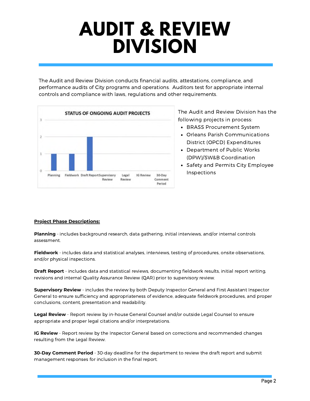## **AUDIT & REVIEW DIVISION**

The Audit and Review Division conducts financial audits, attestations, compliance, and performance audits of City programs and operations. Auditors test for appropriate internal controls and compliance with laws, regulations and other requirements.



The Audit and Review Division has the following projects in process:

- BRASS Procurement System
- Orleans Parish Communications District (OPCD) Expenditures
- Department of Public Works (DPW)/SW&B Coordination
- Safety and Permits City Employee Inspections

#### **Project Phase Descriptions:**

**Planning** - includes background research, data gathering, initial interviews, and/or internal controls assessment.

**Fieldwork** - includes data and statistical analyses, interviews, testing of procedures, onsite observations, and/or physical inspections.

**Draft Report** - includes data and statistical reviews, documenting fieldwork results, initial report writing, revisions and internal Quality Assurance Review (QAR) prior to supervisory review.

**Supervisory Review** - includes the review by both Deputy Inspector General and First Assistant Inspector General to ensure sufficiency and appropriateness of evidence, adequate fieldwork procedures, and proper conclusions, content, presentation and readability.

**Legal Review** - Report review by in-house General Counsel and/or outside Legal Counsel to ensure appropriate and proper legal citations and/or interpretations.

**IG Review** - Report review by the Inspector General based on corrections and recommended changes resulting from the Legal Review.

**30-Day Comment Period** - 30-day deadline for the department to review the draft report and submit management responses for inclusion in the final report.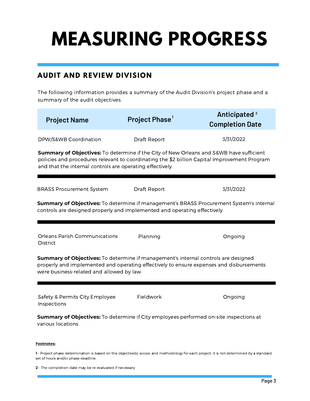## **MEASURING PROGRESS**

### **AUDIT AND REVIEW DIVISION**

The following information provides a summary of the Audit Division's project phase and a summary of the audit objectives.

| <b>Project Name</b>                                                                                                                                                                                                                                  | Project Phase <sup>1</sup> | Anticipated <sup>2</sup><br><b>Completion Date</b> |  |  |  |
|------------------------------------------------------------------------------------------------------------------------------------------------------------------------------------------------------------------------------------------------------|----------------------------|----------------------------------------------------|--|--|--|
| DPW/S&WB Coordination                                                                                                                                                                                                                                | Draft Report               | 3/31/2022                                          |  |  |  |
| Summary of Objectives: To determine if the City of New Orleans and S&WB have sufficient<br>policies and procedures relevant to coordinating the \$2 billion Capital Improvement Program<br>and that the internal controls are operating effectively. |                            |                                                    |  |  |  |
| <b>BRASS Procurement System</b>                                                                                                                                                                                                                      | <b>Draft Report</b>        | 3/31/2022                                          |  |  |  |
| Summary of Objectives: To determine if management's BRASS Procurement System's internal<br>controls are designed properly and implemented and operating effectively.                                                                                 |                            |                                                    |  |  |  |
| <b>Orleans Parish Communications</b><br>District                                                                                                                                                                                                     | Planning                   | Ongoing                                            |  |  |  |
| Summary of Objectives: To determine if management's internal controls are designed<br>properly and implemented and operating effectively to ensure expenses and disbursements<br>were business-related and allowed by law.                           |                            |                                                    |  |  |  |
| Safety & Permits City Employee<br>Inspections                                                                                                                                                                                                        | Fieldwork                  | Ongoing                                            |  |  |  |
| Summary of Objectives: To determine if City employees performed on-site inspections at<br>various locations.                                                                                                                                         |                            |                                                    |  |  |  |

#### **Footnotes:**

**1** - Project phase determination is based on the objective(s), scope, and methodology for each project. It is not determined by a standard set of hours and/or phase deadline.

**2** - The completion date may be re-evaluated if necessary.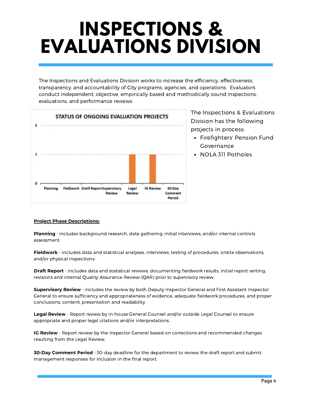## **INSPECTIONS & EVALUATIONS DIVISION**

The Inspections and Evaluations Division works to increase the efficiency, effectiveness, transparency, and accountability of City programs, agencies, and operations. Evaluators conduct independent, objective, empirically based and methodically sound inspections, evaluations, and performance reviews.



The Inspections & Evaluations Division has the following projects in process:

- Firefighters' Pension Fund Governance
- NOLA 311 Potholes

#### **Project Phase Descriptions:**

**Planning** - includes background research, data gathering, initial interviews, and/or internal controls assessment.

**Fieldwork** - includes data and statistical analyses, interviews, testing of procedures, onsite observations, and/or physical inspections.

**Draft Report** - includes data and statistical reviews, documenting fieldwork results, initial report writing, revisions and internal Quality Assurance Review (QAR) prior to supervisory review.

**Supervisory Review** - includes the review by both Deputy Inspector General and First Assistant Inspector General to ensure sufficiency and appropriateness of evidence, adequate fieldwork procedures, and proper conclusions, content, presentation and readability.

**Legal Review** - Report review by in-house General Counsel and/or outside Legal Counsel to ensure appropriate and proper legal citations and/or interpretations.

**IG Review** - Report review by the Inspector General based on corrections and recommended changes resulting from the Legal Review.

**30-Day Comment Period** - 30-day deadline for the department to review the draft report and submit management responses for inclusion in the final report.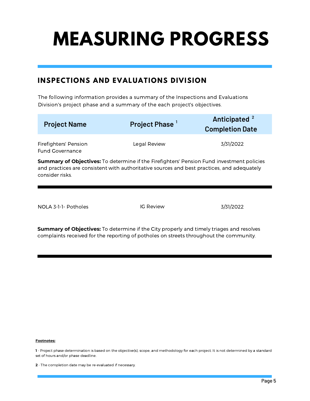# **MEASURING PROGRESS**

### **INSPECTIONS AND EVALUATIONS DIVISION**

The following information provides a summary of the Inspections and Evaluations Division's project phase and a summary of the each project's objectives.

| <b>Project Name</b>                             | Project Phase <sup>1</sup>                                                                                                                                                              | Anticipated <sup>2</sup><br><b>Completion Date</b> |
|-------------------------------------------------|-----------------------------------------------------------------------------------------------------------------------------------------------------------------------------------------|----------------------------------------------------|
| Firefighters' Pension<br><b>Fund Governance</b> | Legal Review                                                                                                                                                                            | 3/31/2022                                          |
| consider risks.                                 | Summary of Objectives: To determine if the Firefighters' Pension Fund investment policies<br>and practices are consistent with authoritative sources and best practices, and adequately |                                                    |

NOLA 3-1-1- Potholes IG Review 3/31/2022

**Summary of Objectives:** To determine if the City properly and timely triages and resolves complaints received for the reporting of potholes on streets throughout the community.

#### **Footnotes:**

**1** - Project phase determination is based on the objective(s), scope, and methodology for each project. It is not determined by a standard set of hours and/or phase deadline.

**<sup>2</sup>** - The completion date may be re-evaluated if necessary.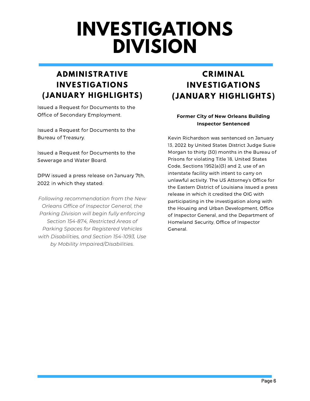## **INVESTIGATIONS DIVISION**

### **ADMINISTRATIVE INVESTIGATIONS (JANUARY HIGHLIGHTS)**

Issued a Request for Documents to the Office of Secondary Employment.

Issued a Request for Documents to the Bureau of Treasury.

Issued a Request for Documents to the Sewerage and Water Board.

DPW issued a press release on January 7th, 2022 in which they stated:

*Following recommendation from the New Orleans Office of Inspector General, the Parking Division will begin fully enforcing Section 154-874, Restricted Areas of Parking Spaces for Registered Vehicles with Disabilities, and Section 154-1093, Use by Mobility Impaired/Disabilities.*

### **CRIMINAL INVESTIGATIONS (JANUARY HIGHLIGHTS)**

#### **Former City of New Orleans Building Inspector Sentenced**

Kevin Richardson was sentenced on January 13, 2022 by United States District Judge Susie Morgan to thirty (30) months in the Bureau of Prisons for violating Title 18, United States Code, Sections 1952(a)(3) and 2, use of an interstate facility with intent to carry on unlawful activity. The US Attorney's Office for the Eastern District of Louisiana issued a press release in which it credited the OIG with participating in the investigation along with the Housing and Urban Development, Office of Inspector General, and the Department of Homeland Security, Office of Inspector General.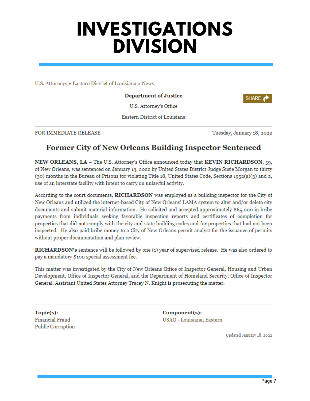## **INVESTIGATIONS DIVISION**

U.S. Attorneys » Eastern District of Louisiana » News

#### **Department of Justice**

U.S. Attorney's Office

Eastern District of Louisiana

#### FOR IMMEDIATE RELEASE

Tuesday, January 18, 2022

**SHARE** 

### **Former City of New Orleans Building Inspector Sentenced**

NEW ORLEANS, LA - The U.S. Attorney's Office announced today that KEVIN RICHARDSON, 59, of New Orleans, was sentenced on January 13, 2022 by United States District Judge Susie Morgan to thirty (30) months in the Bureau of Prisons for violating Title 18, United States Code, Sections 1952(a)(3) and 2, use of an interstate facility with intent to carry on unlawful activity.

According to the court documents, **RICHARDSON** was employed as a building inspector for the City of New Orleans and utilized the internet-based City of New Orleans' LAMA system to alter and/or delete city documents and submit material information. He solicited and accepted approximately \$65,000 in bribe payments from individuals seeking favorable inspection reports and certificates of completion for properties that did not comply with the city and state building codes and for properties that had not been inspected. He also paid bribe money to a City of New Orleans permit analyst for the issuance of permits without proper documentation and plan review.

RICHARDSON's sentence will be followed by one (1) year of supervised release. He was also ordered to pay a mandatory \$100 special assessment fee.

This matter was investigated by the City of New Orleans Office of Inspector General, Housing and Urban Development, Office of Inspector General, and the Department of Homeland Security, Office of Inspector General. Assistant United States Attorney Tracey N. Knight is prosecuting the matter.

Topic(s): **Financial Fraud Public Corruption**  Component(s): USAO - Louisiana, Eastern

Updated January 18, 2022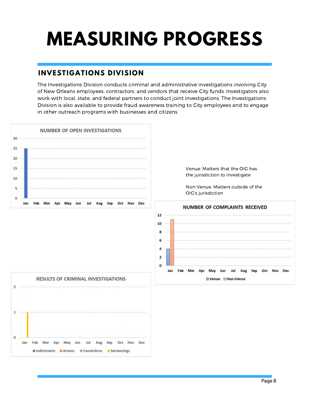# **MEASURING PROGRESS**

### **INVESTIGATIONS DIVISION**

The Investigations Division conducts criminal and administrative investigations involving City of New Orleans employees, contractors, and vendors that receive City funds. Investigators also work with local, state, and federal partners to conduct joint investigations. The Investigations Division is also available to provide fraud awareness training to City employees and to engage in other outreach programs with businesses and citizens.

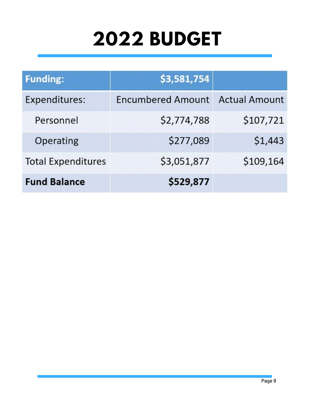# **2022 BUDGET**

| <b>Funding:</b>           | \$3,581,754              |                      |
|---------------------------|--------------------------|----------------------|
| Expenditures:             | <b>Encumbered Amount</b> | <b>Actual Amount</b> |
| Personnel                 | \$2,774,788              | \$107,721            |
| Operating                 | \$277,089                | \$1,443              |
| <b>Total Expenditures</b> | \$3,051,877              | \$109,164            |
| <b>Fund Balance</b>       | \$529,877                |                      |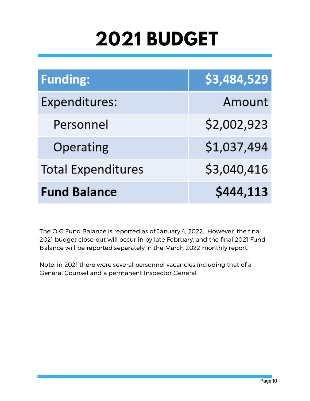## **2021 BUDGET**

| <b>Funding:</b>           | \$3,484,529 |
|---------------------------|-------------|
| Expenditures:             | Amount      |
| Personnel                 | \$2,002,923 |
| Operating                 | \$1,037,494 |
| <b>Total Expenditures</b> | \$3,040,416 |
| <b>Fund Balance</b>       | \$444,113   |

The OIG Fund Balance is reported as of January 4, 2022. However, the final 2021 budget close-out will occur in by late February, and the final 2021 Fund Balance will be reported separately in the March 2022 monthly report.

Note: in 2021 there were several personnel vacancies including that of a General Counsel and a permanent Inspector General.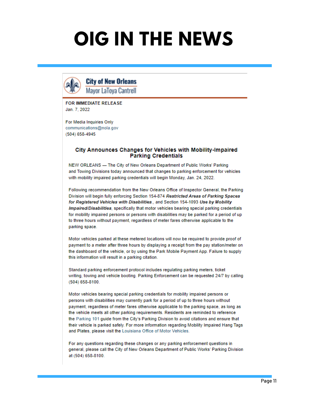## **OIG IN THE NEWS**



**City of New Orleans Mayor LaTova Cantrell** 

**FOR IMMEDIATE RELEASE** Jan. 7. 2022

For Media Inquiries Only communications@nola.gov  $(504) 658 - 4945$ 

#### City Announces Changes for Vehicles with Mobility-Impaired **Parking Credentials**

NEW ORLEANS - The City of New Orleans Department of Public Works' Parking and Towing Divisions today announced that changes to parking enforcement for vehicles with mobility impaired parking credentials will begin Monday, Jan. 24, 2022.

Following recommendation from the New Orleans Office of Inspector General, the Parking Division will begin fully enforcing Section 154-874 Restricted Areas of Parking Spaces for Registered Vehicles with Disabilities.. and Section 154-1093 Use by Mobility Impaired/Disabilities, specifically that motor vehicles bearing special parking credentials for mobility impaired persons or persons with disabilities may be parked for a period of up to three hours without payment, regardless of meter fares otherwise applicable to the parking space.

Motor vehicles parked at these metered locations will now be required to provide proof of payment to a meter after three hours by displaying a receipt from the pay station/meter on the dashboard of the vehicle, or by using the Park Mobile Payment App. Failure to supply this information will result in a parking citation.

Standard parking enforcement protocol includes regulating parking meters, ticket writing, towing and vehicle booting. Parking Enforcement can be requested 24/7 by calling  $(504) 658 - 8100.$ 

Motor vehicles bearing special parking credentials for mobility impaired persons or persons with disabilities may currently park for a period of up to three hours without payment, regardless of meter fares otherwise applicable to the parking space, as long as the vehicle meets all other parking requirements. Residents are reminded to reference the Parking 101 guide from the City's Parking Division to avoid citations and ensure that their vehicle is parked safely. For more information regarding Mobility Impaired Hang Tags and Plates, please visit the Louisiana Office of Motor Vehicles.

For any questions regarding these changes or any parking enforcement questions in general, please call the City of New Orleans Department of Public Works' Parking Division at (504) 658-8100.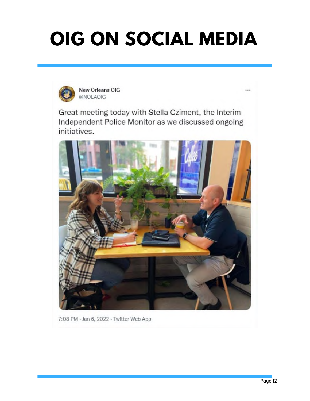# **OIG ON SOCIAL MEDIA**



New Orleans OIG @NOLAOIG

Great meeting today with Stella Cziment, the Interim Independent Police Monitor as we discussed ongoing initiatives.



7:08 PM - Jan 6, 2022 - Twitter Web App

 $\cdots$